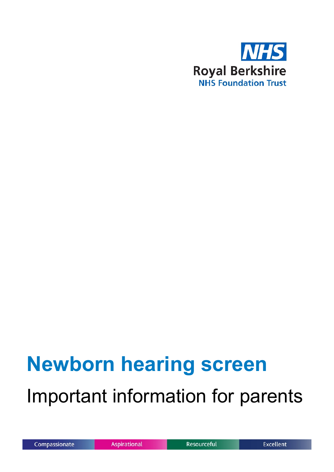

# **Newborn hearing screen** Important information for parents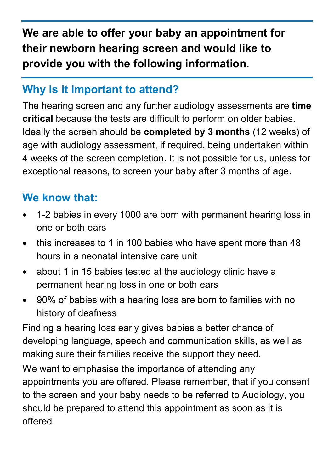**We are able to offer your baby an appointment for their newborn hearing screen and would like to provide you with the following information.**

#### **Why is it important to attend?**

The hearing screen and any further audiology assessments are **time critical** because the tests are difficult to perform on older babies. Ideally the screen should be **completed by 3 months** (12 weeks) of age with audiology assessment, if required, being undertaken within 4 weeks of the screen completion. It is not possible for us, unless for exceptional reasons, to screen your baby after 3 months of age.

### **We know that:**

- 1-2 babies in every 1000 are born with permanent hearing loss in one or both ears
- this increases to 1 in 100 babies who have spent more than 48 hours in a neonatal intensive care unit
- about 1 in 15 babies tested at the audiology clinic have a permanent hearing loss in one or both ears
- 90% of babies with a hearing loss are born to families with no history of deafness

Finding a hearing loss early gives babies a better chance of developing language, speech and communication skills, as well as making sure their families receive the support they need.

We want to emphasise the importance of attending any appointments you are offered. Please remember, that if you consent to the screen and your baby needs to be referred to Audiology, you should be prepared to attend this appointment as soon as it is offered.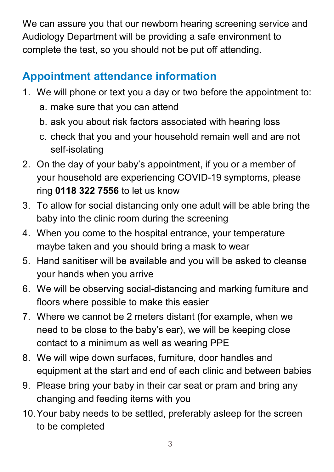We can assure you that our newborn hearing screening service and Audiology Department will be providing a safe environment to complete the test, so you should not be put off attending.

## **Appointment attendance information**

- 1. We will phone or text you a day or two before the appointment to:
	- a. make sure that you can attend
	- b. ask you about risk factors associated with hearing loss
	- c. check that you and your household remain well and are not self-isolating
- 2. On the day of your baby's appointment, if you or a member of your household are experiencing COVID-19 symptoms, please ring **0118 322 7556** to let us know
- 3. To allow for social distancing only one adult will be able bring the baby into the clinic room during the screening
- 4. When you come to the hospital entrance, your temperature maybe taken and you should bring a mask to wear
- 5. Hand sanitiser will be available and you will be asked to cleanse your hands when you arrive
- 6. We will be observing social-distancing and marking furniture and floors where possible to make this easier
- 7. Where we cannot be 2 meters distant (for example, when we need to be close to the baby's ear), we will be keeping close contact to a minimum as well as wearing PPE
- 8. We will wipe down surfaces, furniture, door handles and equipment at the start and end of each clinic and between babies
- 9. Please bring your baby in their car seat or pram and bring any changing and feeding items with you
- 10.Your baby needs to be settled, preferably asleep for the screen to be completed